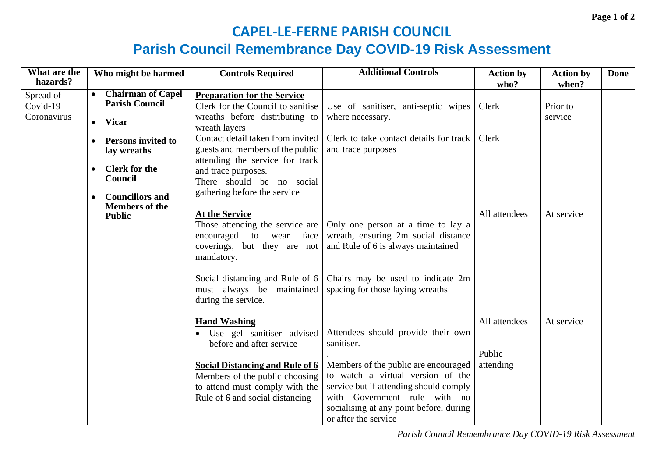## **CAPEL-LE-FERNE PARISH COUNCIL Parish Council Remembrance Day COVID-19 Risk Assessment**

| What are the | Who might be harmed       | <b>Controls Required</b>               | <b>Additional Controls</b>              | <b>Action by</b> | <b>Action by</b> | <b>Done</b> |
|--------------|---------------------------|----------------------------------------|-----------------------------------------|------------------|------------------|-------------|
| hazards?     |                           |                                        |                                         | who?             | when?            |             |
| Spread of    | • Chairman of Capel       | <b>Preparation for the Service</b>     |                                         |                  |                  |             |
| Covid-19     | <b>Parish Council</b>     | Clerk for the Council to sanitise      | Use of sanitiser, anti-septic wipes     | Clerk            | Prior to         |             |
| Coronavirus  | • Vicar                   | wreaths before distributing to         | where necessary.                        |                  | service          |             |
|              |                           | wreath layers                          |                                         |                  |                  |             |
|              | <b>Persons invited to</b> | Contact detail taken from invited      | Clerk to take contact details for track | Clerk            |                  |             |
|              | lay wreaths               | guests and members of the public       | and trace purposes                      |                  |                  |             |
|              |                           | attending the service for track        |                                         |                  |                  |             |
|              | <b>Clerk for the</b>      | and trace purposes.                    |                                         |                  |                  |             |
|              | <b>Council</b>            | There should be no social              |                                         |                  |                  |             |
|              | <b>Councillors and</b>    | gathering before the service           |                                         |                  |                  |             |
|              | <b>Members of the</b>     |                                        |                                         |                  |                  |             |
|              | <b>Public</b>             | <b>At the Service</b>                  |                                         | All attendees    | At service       |             |
|              |                           | Those attending the service are        | Only one person at a time to lay a      |                  |                  |             |
|              |                           | encouraged<br>face<br>to wear          | wreath, ensuring 2m social distance     |                  |                  |             |
|              |                           | coverings, but they are not            | and Rule of 6 is always maintained      |                  |                  |             |
|              |                           | mandatory.                             |                                         |                  |                  |             |
|              |                           |                                        |                                         |                  |                  |             |
|              |                           | Social distancing and Rule of 6        | Chairs may be used to indicate 2m       |                  |                  |             |
|              |                           | must always be maintained              | spacing for those laying wreaths        |                  |                  |             |
|              |                           | during the service.                    |                                         |                  |                  |             |
|              |                           |                                        |                                         |                  |                  |             |
|              |                           | <b>Hand Washing</b>                    |                                         | All attendees    | At service       |             |
|              |                           | Use gel sanitiser advised<br>$\bullet$ | Attendees should provide their own      |                  |                  |             |
|              |                           | before and after service               | sanitiser.                              |                  |                  |             |
|              |                           |                                        |                                         | Public           |                  |             |
|              |                           | <b>Social Distancing and Rule of 6</b> | Members of the public are encouraged    | attending        |                  |             |
|              |                           | Members of the public choosing         | to watch a virtual version of the       |                  |                  |             |
|              |                           | to attend must comply with the         | service but if attending should comply  |                  |                  |             |
|              |                           | Rule of 6 and social distancing        | with Government rule with no            |                  |                  |             |
|              |                           |                                        | socialising at any point before, during |                  |                  |             |
|              |                           |                                        | or after the service                    |                  |                  |             |